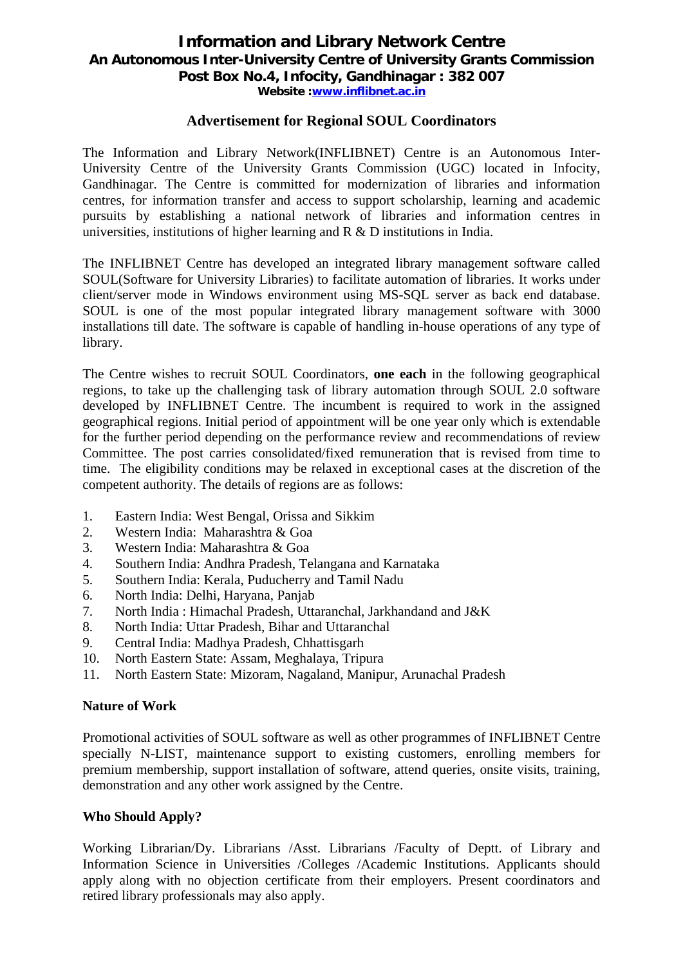# **Information and Library Network Centre An Autonomous Inter-University Centre of University Grants Commission Post Box No.4, Infocity, Gandhinagar : 382 007 Website :www.inflibnet.ac.in**

### **Advertisement for Regional SOUL Coordinators**

The Information and Library Network(INFLIBNET) Centre is an Autonomous Inter-University Centre of the University Grants Commission (UGC) located in Infocity, Gandhinagar. The Centre is committed for modernization of libraries and information centres, for information transfer and access to support scholarship, learning and academic pursuits by establishing a national network of libraries and information centres in universities, institutions of higher learning and R & D institutions in India.

The INFLIBNET Centre has developed an integrated library management software called SOUL(Software for University Libraries) to facilitate automation of libraries. It works under client/server mode in Windows environment using MS-SQL server as back end database. SOUL is one of the most popular integrated library management software with 3000 installations till date. The software is capable of handling in-house operations of any type of library.

The Centre wishes to recruit SOUL Coordinators, **one each** in the following geographical regions, to take up the challenging task of library automation through SOUL 2.0 software developed by INFLIBNET Centre. The incumbent is required to work in the assigned geographical regions. Initial period of appointment will be one year only which is extendable for the further period depending on the performance review and recommendations of review Committee. The post carries consolidated/fixed remuneration that is revised from time to time. The eligibility conditions may be relaxed in exceptional cases at the discretion of the competent authority. The details of regions are as follows:

- 1. Eastern India: West Bengal, Orissa and Sikkim
- 2. Western India: Maharashtra & Goa
- 3. Western India: Maharashtra & Goa
- 4. Southern India: Andhra Pradesh, Telangana and Karnataka
- 5. Southern India: Kerala, Puducherry and Tamil Nadu
- 6. North India: Delhi, Haryana, Panjab
- 7. North India : Himachal Pradesh, Uttaranchal, Jarkhandand and J&K
- 8. North India: Uttar Pradesh, Bihar and Uttaranchal
- 9. Central India: Madhya Pradesh, Chhattisgarh
- 10. North Eastern State: Assam, Meghalaya, Tripura
- 11. North Eastern State: Mizoram, Nagaland, Manipur, Arunachal Pradesh

#### **Nature of Work**

Promotional activities of SOUL software as well as other programmes of INFLIBNET Centre specially N-LIST, maintenance support to existing customers, enrolling members for premium membership, support installation of software, attend queries, onsite visits, training, demonstration and any other work assigned by the Centre.

## **Who Should Apply?**

Working Librarian/Dy. Librarians /Asst. Librarians /Faculty of Deptt. of Library and Information Science in Universities /Colleges /Academic Institutions. Applicants should apply along with no objection certificate from their employers. Present coordinators and retired library professionals may also apply.